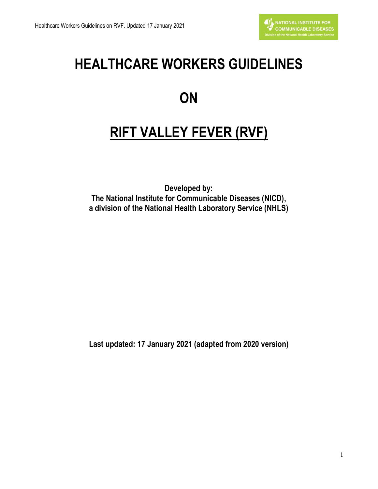# **HEALTHCARE WORKERS GUIDELINES**

# **ON**

# **RIFT VALLEY FEVER (RVF)**

**Developed by: The National Institute for Communicable Diseases (NICD), a division of the National Health Laboratory Service (NHLS)**

**Last updated: 17 January 2021 (adapted from 2020 version)**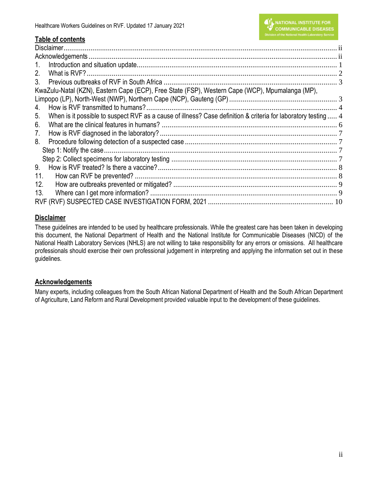# **Table of contents**

| $1_{\cdot}$                                                                                                          |  |
|----------------------------------------------------------------------------------------------------------------------|--|
| 2.                                                                                                                   |  |
| 3.                                                                                                                   |  |
| KwaZulu-Natal (KZN), Eastern Cape (ECP), Free State (FSP), Western Cape (WCP), Mpumalanga (MP),                      |  |
|                                                                                                                      |  |
| 4.                                                                                                                   |  |
| When is it possible to suspect RVF as a cause of illness? Case definition & criteria for laboratory testing  4<br>5. |  |
| 6.                                                                                                                   |  |
| 7.                                                                                                                   |  |
| 8.                                                                                                                   |  |
|                                                                                                                      |  |
|                                                                                                                      |  |
| 9.                                                                                                                   |  |
| 11.                                                                                                                  |  |
| 12.                                                                                                                  |  |
| 13.                                                                                                                  |  |
|                                                                                                                      |  |

# <span id="page-1-0"></span>**Disclaimer**

These guidelines are intended to be used by healthcare professionals. While the greatest care has been taken in developing this document, the National Department of Health and the National Institute for Communicable Diseases (NICD) of the National Health Laboratory Services (NHLS) are not willing to take responsibility for any errors or omissions. All healthcare professionals should exercise their own professional judgement in interpreting and applying the information set out in these guidelines.

# <span id="page-1-1"></span>**Acknowledgements**

Many experts, including colleagues from the South African National Department of Health and the South African Department of Agriculture, Land Reform and Rural Development provided valuable input to the development of these guidelines.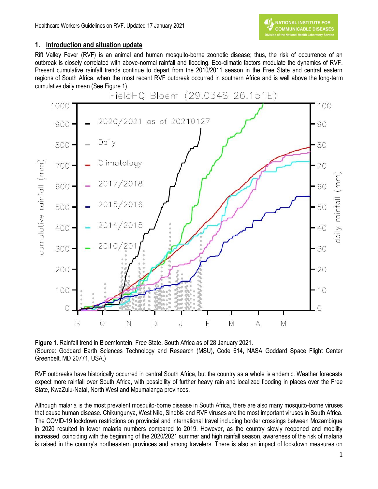## <span id="page-2-0"></span>**1. Introduction and situation update**

Rift Valley Fever (RVF) is an animal and human mosquito-borne zoonotic disease; thus, the risk of occurrence of an outbreak is closely correlated with above-normal rainfall and flooding. Eco-climatic factors modulate the dynamics of RVF. Present cumulative rainfall trends continue to depart from the 2010/2011 season in the Free State and central eastern regions of South Africa, when the most recent RVF outbreak occurred in southern Africa and is well above the long-term cumulative daily mean (See Figure 1).



**Figure 1**. Rainfall trend in Bloemfontein, Free State, South Africa as of 28 January 2021. (Source: Goddard Earth Sciences Technology and Research (MSU), Code 614, NASA Goddard Space Flight Center Greenbelt, MD 20771, USA.)

RVF outbreaks have historically occurred in central South Africa, but the country as a whole is endemic. Weather forecasts expect more rainfall over South Africa, with possibility of further heavy rain and localized flooding in places over the Free State, KwaZulu-Natal, North West and Mpumalanga provinces.

Although malaria is the most prevalent mosquito-borne disease in South Africa, there are also many mosquito-borne viruses that cause human disease. Chikungunya, West Nile, Sindbis and RVF viruses are the most important viruses in South Africa. The COVID-19 lockdown restrictions on provincial and international travel including border crossings between Mozambique in 2020 resulted in lower malaria numbers compared to 2019. However, as the country slowly reopened and mobility increased, coinciding with the beginning of the 2020/2021 summer and high rainfall season, awareness of the risk of malaria is raised in the country's northeastern provinces and among travelers. There is also an impact of lockdown measures on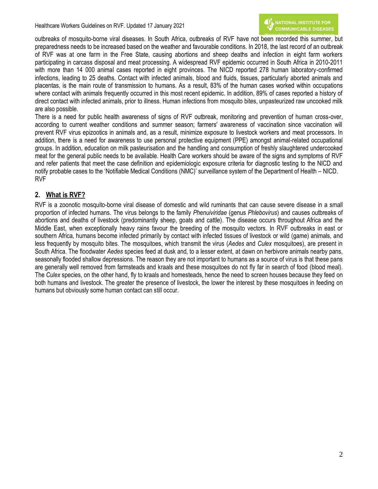outbreaks of mosquito-borne viral diseases. In South Africa, outbreaks of RVF have not been recorded this summer, but preparedness needs to be increased based on the weather and favourable conditions. In 2018, the last record of an outbreak of RVF was at one farm in the Free State, causing abortions and sheep deaths and infection in eight farm workers participating in carcass disposal and meat processing. A widespread RVF epidemic occurred in South Africa in 2010-2011 with more than 14 000 animal cases reported in eight provinces. The NICD reported 278 human laboratory-confirmed infections, leading to 25 deaths. Contact with infected animals, blood and fluids, tissues, particularly aborted animals and placentas, is the main route of transmission to humans. As a result, 83% of the human cases worked within occupations where contact with animals frequently occurred in this most recent epidemic. In addition, 89% of cases reported a history of direct contact with infected animals, prior to illness. Human infections from mosquito bites, unpasteurized raw uncooked milk are also possible.

There is a need for public health awareness of signs of RVF outbreak, monitoring and prevention of human cross-over, according to current weather conditions and summer season; farmers' awareness of vaccination since vaccination will prevent RVF virus epizootics in animals and, as a result, minimize exposure to livestock workers and meat processors. In addition, there is a need for awareness to use personal protective equipment (PPE) amongst animal-related occupational groups. In addition, education on milk pasteurisation and the handling and consumption of freshly slaughtered undercooked meat for the general public needs to be available. Health Care workers should be aware of the signs and symptoms of RVF and refer patients that meet the case definition and epidemiologic exposure criteria for diagnostic testing to the NICD and notify probable cases to the 'Notifiable Medical Conditions (NMC)' surveillance system of the Department of Health – NICD. RVF

# <span id="page-3-0"></span>**2. What is RVF?**

RVF is a zoonotic mosquito-borne viral disease of domestic and wild ruminants that can cause severe disease in a small proportion of infected humans. The virus belongs to the family *Phenuiviridae* (genus *Phlebovirus*) and causes outbreaks of abortions and deaths of livestock (predominantly sheep, goats and cattle). The disease occurs throughout Africa and the Middle East, when exceptionally heavy rains favour the breeding of the mosquito vectors. In RVF outbreaks in east or southern Africa, humans become infected primarily by contact with infected tissues of livestock or wild (game) animals, and less frequently by mosquito bites. The mosquitoes, which transmit the virus (*Aedes* and *Culex* mosquitoes), are present in South Africa. The floodwater *Aedes* species feed at dusk and, to a lesser extent, at dawn on herbivore animals nearby pans, seasonally flooded shallow depressions. The reason they are not important to humans as a source of virus is that these pans are generally well removed from farmsteads and kraals and these mosquitoes do not fly far in search of food (blood meal). The *Culex* species, on the other hand, fly to kraals and homesteads, hence the need to screen houses because they feed on both humans and livestock. The greater the presence of livestock, the lower the interest by these mosquitoes in feeding on humans but obviously some human contact can still occur.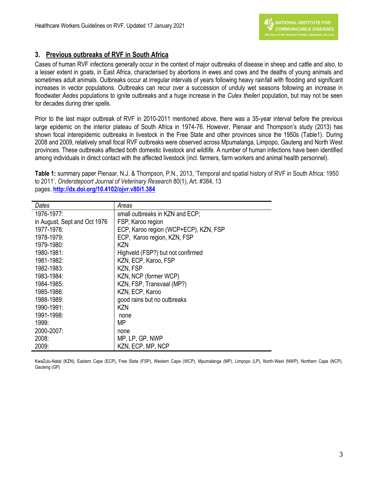## <span id="page-4-0"></span>**3. Previous outbreaks of RVF in South Africa**

Cases of human RVF infections generally occur in the context of major outbreaks of disease in sheep and cattle and also, to a lesser extent in goats, in East Africa, characterised by abortions in ewes and cows and the deaths of young animals and sometimes adult animals. Outbreaks occur at irregular intervals of years following heavy rainfall with flooding and significant increases in vector populations. Outbreaks can recur over a succession of unduly wet seasons following an increase in floodwater *Aedes* populations to ignite outbreaks and a huge increase in the *Culex theileri* population, but may not be seen for decades during drier spells.

Prior to the last major outbreak of RVF in 2010-2011 mentioned above, there was a 35-year interval before the previous large epidemic on the interior plateau of South Africa in 1974-76. However, Pienaar and Thompson's study (2013) has shown focal interepidemic outbreaks in livestock in the Free State and other provinces since the 1950s (Table1). During 2008 and 2009, relatively small focal RVF outbreaks were observed across Mpumalanga, Limpopo, Gauteng and North West provinces. These outbreaks affected both domestic livestock and wildlife. A number of human infections have been identified among individuals in direct contact with the affected livestock (incl. farmers, farm workers and animal health personnel).

**Table 1:** summary paper Pienaar, N.J. & Thompson, P.N., 2013, 'Temporal and spatial history of RVF in South Africa: 1950 to 2011', *Onderstepoort Journal of Veterinary Research* 80(1), Art. #384, 13 pages. **<http://dx.doi.org/10.4102/ojvr.v80i1.384>**

| Dates                        | Areas                                 |
|------------------------------|---------------------------------------|
| 1976-1977:                   | small outbreaks in KZN and ECP;       |
| in August, Sept and Oct 1976 | FSP; Karoo region                     |
| 1977-1978:                   | ECP, Karoo region (WCP+ECP), KZN, FSP |
| 1978-1979:                   | ECP, Karoo region, KZN, FSP           |
| 1979-1980:                   | KZN                                   |
| 1980-1981:                   | Highveld (FSP?) but not confirmed     |
| $1981 - 1982$                | KZN, ECP, Karoo, FSP                  |
| 1982-1983:                   | KZN, FSP                              |
| 1983-1984:                   | KZN, NCP (former WCP)                 |
| 1984-1985:                   | KZN, FSP, Transvaal (MP?)             |
| 1985-1986:                   | KZN, ECP, Karoo                       |
| 1988-1989:                   | good rains but no outbreaks           |
| 1990-1991:                   | KZN                                   |
| 1991-1998:                   | none                                  |
| 1999:                        | МP                                    |
| 2000-2007:                   | none                                  |
| 2008:                        | MP, LP, GP, NWP                       |
| 2009:                        | KZN, ECP, MP, NCP                     |

<span id="page-4-1"></span>KwaZulu-Natal (KZN), Eastern Cape (ECP), Free State (FSP), Western Cape (WCP), Mpumalanga (MP), Limpopo (LP), North-West (NWP), Northern Cape (NCP), Gauteng (GP)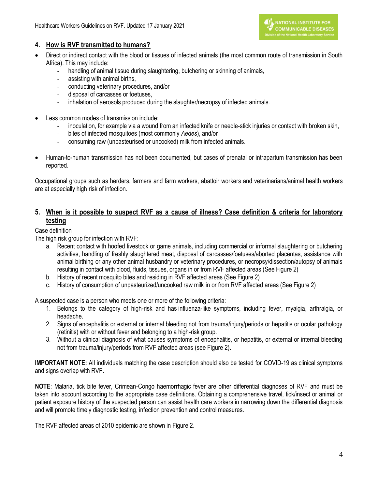#### <span id="page-5-0"></span>**4. How is RVF transmitted to humans?**

- Direct or indirect contact with the blood or tissues of infected animals (the most common route of transmission in South Africa). This may include:
	- handling of animal tissue during slaughtering, butchering or skinning of animals,
	- assisting with animal births,
	- conducting veterinary procedures, and/or
	- disposal of carcasses or foetuses,
	- inhalation of aerosols produced during the slaughter/necropsy of infected animals.
- Less common modes of transmission include:
	- inoculation, for example via a wound from an infected knife or needle-stick injuries or contact with broken skin,
	- bites of infected mosquitoes (most commonly *Aedes*), and/or
	- consuming raw (unpasteurised or uncooked) milk from infected animals.
- Human-to-human transmission has not been documented, but cases of prenatal or intrapartum transmission has been reported.

Occupational groups such as herders, farmers and farm workers, abattoir workers and veterinarians/animal health workers are at especially high risk of infection.

## <span id="page-5-1"></span>**5. When is it possible to suspect RVF as a cause of illness? Case definition & criteria for laboratory testing**

#### Case definition

The high risk group for infection with RVF:

- a. Recent contact with hoofed livestock or game animals, including commercial or informal slaughtering or butchering activities, handling of freshly slaughtered meat, disposal of carcasses/foetuses/aborted placentas, assistance with animal birthing or any other animal husbandry or veterinary procedures, or necropsy/dissection/autopsy of animals resulting in contact with blood, fluids, tissues, organs in or from RVF affected areas (See Figure 2)
- b. History of recent mosquito bites and residing in RVF affected areas (See Figure 2)
- c. History of consumption of unpasteurized/uncooked raw milk in or from RVF affected areas (See Figure 2)

A suspected case is a person who meets one or more of the following criteria:

- 1. Belongs to the category of high-risk and has influenza-like symptoms, including fever, myalgia, arthralgia, or headache.
- 2. Signs of encephalitis or external or internal bleeding not from trauma/injury/periods or hepatitis or ocular pathology (retinitis) with or without fever and belonging to a high-risk group.
- 3. Without a clinical diagnosis of what causes symptoms of encephalitis, or hepatitis, or external or internal bleeding not from trauma/injury/periods from RVF affected areas (see Figure 2).

**IMPORTANT NOTE:** All individuals matching the case description should also be tested for COVID-19 as clinical symptoms and signs overlap with RVF.

**NOTE**: Malaria, tick bite fever, Crimean-Congo haemorrhagic fever are other differential diagnoses of RVF and must be taken into account according to the appropriate case definitions. Obtaining a comprehensive travel, tick/insect or animal or patient exposure history of the suspected person can assist health care workers in narrowing down the differential diagnosis and will promote timely diagnostic testing, infection prevention and control measures.

The RVF affected areas of 2010 epidemic are shown in Figure 2.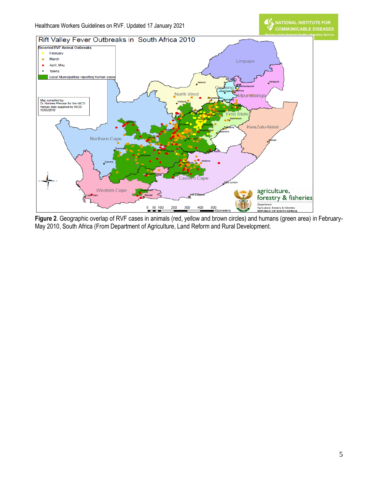NATIONAL INSTITUTE FOR<br>COMMUNICABLE DISEASES



**Figure 2**. Geographic overlap of RVF cases in animals (red, yellow and brown circles) and humans (green area) in February-May 2010, South Africa (From Department of Agriculture, Land Reform and Rural Development.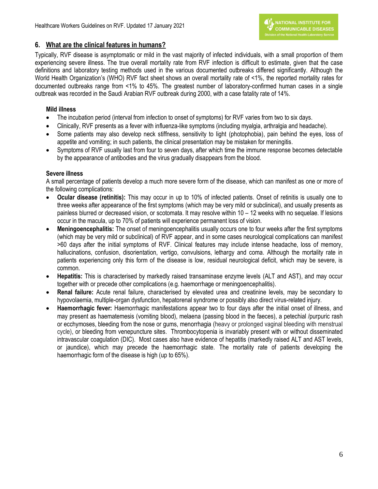#### <span id="page-7-0"></span>**6. What are the clinical features in humans?**

Typically, RVF disease is asymptomatic or mild in the vast majority of infected individuals, with a small proportion of them experiencing severe illness. The true overall mortality rate from RVF infection is difficult to estimate, given that the case definitions and laboratory testing methods used in the various documented outbreaks differed significantly. Although the World Health Organization's (WHO) RVF fact sheet shows an overall mortality rate of <1%, the reported mortality rates for documented outbreaks range from <1% to 45%. The greatest number of laboratory-confirmed human cases in a single outbreak was recorded in the Saudi Arabian RVF outbreak during 2000, with a case fatality rate of 14%.

#### **Mild illness**

- The incubation period (interval from infection to onset of symptoms) for RVF varies from two to six days.
- Clinically, RVF presents as a fever with influenza-like symptoms (including myalgia, arthralgia and headache).
- Some patients may also develop neck stiffness, sensitivity to light (photophobia), pain behind the eyes, loss of appetite and vomiting; in such patients, the clinical presentation may be mistaken for meningitis.
- Symptoms of RVF usually last from four to seven days, after which time the immune response becomes detectable by the appearance of antibodies and the virus gradually disappears from the blood.

#### **Severe illness**

A small percentage of patients develop a much more severe form of the disease, which can manifest as one or more of the following complications:

- **Ocular disease (retinitis):** This may occur in up to 10% of infected patients. Onset of retinitis is usually one to three weeks after appearance of the first symptoms (which may be very mild or subclinical), and usually presents as painless blurred or decreased vision, or scotomata. It may resolve within 10 – 12 weeks with no sequelae. If lesions occur in the macula, up to 70% of patients will experience permanent loss of vision.
- **Meningoencephalitis:** The onset of meningoencephalitis usually occurs one to four weeks after the first symptoms (which may be very mild or subclinical) of RVF appear, and in some cases neurological complications can manifest >60 days after the initial symptoms of RVF. Clinical features may include intense headache, loss of memory, hallucinations, confusion, disorientation, vertigo, convulsions, lethargy and coma. Although the mortality rate in patients experiencing only this form of the disease is low, residual neurological deficit, which may be severe, is common.
- **Hepatitis:** This is characterised by markedly raised transaminase enzyme levels (ALT and AST), and may occur together with or precede other complications (e.g. haemorrhage or meningoencephalitis).
- **Renal failure:** Acute renal failure, characterised by elevated urea and creatinine levels, may be secondary to hypovolaemia, multiple-organ dysfunction, hepatorenal syndrome or possibly also direct virus-related injury.
- **Haemorrhagic fever:** Haemorrhagic manifestations appear two to four days after the initial onset of illness, and may present as haematemesis (vomiting blood), melaena (passing blood in the faeces), a petechial /purpuric rash or ecchymoses, bleeding from the nose or gums, menorrhagia (heavy or prolonged vaginal bleeding with menstrual cycle), or bleeding from venepuncture sites. Thrombocytopenia is invariably present with or without disseminated intravascular coagulation (DIC). Most cases also have evidence of hepatitis (markedly raised ALT and AST levels, or jaundice), which may precede the haemorrhagic state. The mortality rate of patients developing the haemorrhagic form of the disease is high (up to 65%).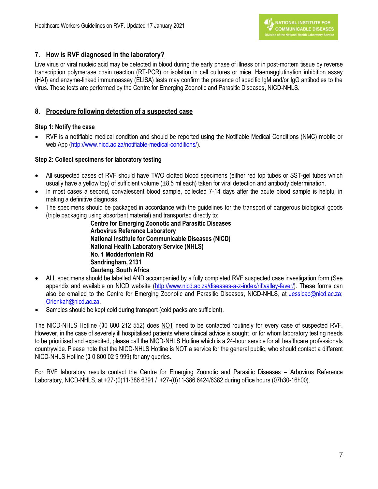# <span id="page-8-0"></span>**7. How is RVF diagnosed in the laboratory?**

Live virus or viral nucleic acid may be detected in blood during the early phase of illness or in post-mortem tissue by reverse transcription polymerase chain reaction (RT-PCR) or isolation in cell cultures or mice. Haemagglutination inhibition assay (HAI) and enzyme-linked immunoassay (ELISA) tests may confirm the presence of specific IgM and/or IgG antibodies to the virus. These tests are performed by the Centre for Emerging Zoonotic and Parasitic Diseases, NICD-NHLS.

# <span id="page-8-1"></span>**8. Procedure following detection of a suspected case**

## <span id="page-8-2"></span>**Step 1: Notify the case**

 RVF is a notifiable medical condition and should be reported using the Notifiable Medical Conditions (NMC) mobile or web App [\(http://www.nicd.ac.za/notifiable-medical-conditions/\)](http://www.nicd.ac.za/notifiable-medical-conditions/).

## <span id="page-8-3"></span>**Step 2: Collect specimens for laboratory testing**

- All suspected cases of RVF should have TWO clotted blood specimens (either red top tubes or SST-gel tubes which usually have a yellow top) of sufficient volume (±8.5 ml each) taken for viral detection and antibody determination.
- In most cases a second, convalescent blood sample, collected 7-14 days after the acute blood sample is helpful in making a definitive diagnosis.
- The specimens should be packaged in accordance with the guidelines for the transport of dangerous biological goods (triple packaging using absorbent material) and transported directly to:

**Centre for Emerging Zoonotic and Parasitic Diseases Arbovirus Reference Laboratory National Institute for Communicable Diseases (NICD) National Health Laboratory Service (NHLS) No. 1 Modderfontein Rd Sandringham, 2131 Gauteng, South Africa**

- ALL specimens should be labelled AND accompanied by a fully completed RVF suspected case investigation form (See appendix and available on NICD website [\(http://www.nicd.ac.za/diseases-a-z-index/riftvalley-fever/\)](http://www.nicd.ac.za/diseases-a-z-index/riftvalley-fever/). These forms can also be emailed to the Centre for Emerging Zoonotic and Parasitic Diseases, NICD-NHLS, at [Jessicac@nicd.ac.za;](mailto:Jessicac@nicd.ac.za) [Orienkah@nicd.ac.za.](mailto:Orienkah@nicd.ac.za)
- Samples should be kept cold during transport (cold packs are sufficient).

The NICD-NHLS Hotline (10 800 212 552) does NOT need to be contacted routinely for every case of suspected RVF. However, in the case of severely ill hospitalised patients where clinical advice is sought, or for whom laboratory testing needs to be prioritised and expedited, please call the NICD-NHLS Hotline which is a 24-hour service for all healthcare professionals countrywide. Please note that the NICD-NHLS Hotline is NOT a service for the general public, who should contact a different NICD-NHLS Hotline ( $\sqrt{3}$  0 800 02 9 999) for any queries.

For RVF laboratory results contact the Centre for Emerging Zoonotic and Parasitic Diseases – Arbovirus Reference Laboratory, NICD-NHLS, at +27-(0)11-386 6391 / +27-(0)11-386 6424/6382 during office hours (07h30-16h00).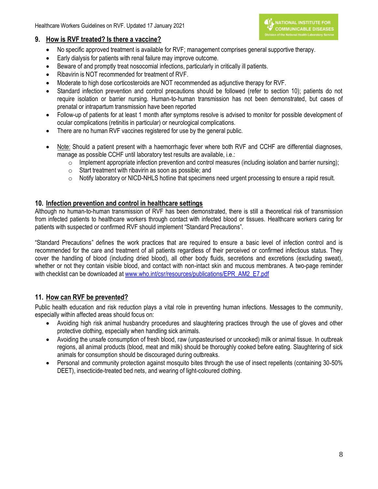#### <span id="page-9-0"></span>**9. How is RVF treated? Is there a vaccine?**

- IN NATIONAL INSTITUTE FOR **COMMUNICABLE DISEASES**
- No specific approved treatment is available for RVF; management comprises general supportive therapy.
- Early dialysis for patients with renal failure may improve outcome.
- Beware of and promptly treat nosocomial infections, particularly in critically ill patients.
- Ribavirin is NOT recommended for treatment of RVF.
- Moderate to high dose corticosteroids are NOT recommended as adjunctive therapy for RVF.
- Standard infection prevention and control precautions should be followed (refer to section 10); patients do not require isolation or barrier nursing. Human-to-human transmission has not been demonstrated, but cases of prenatal or intrapartum transmission have been reported
- Follow-up of patients for at least 1 month after symptoms resolve is advised to monitor for possible development of ocular complications (retinitis in particular) or neurological complications.
- There are no human RVF vaccines registered for use by the general public.
- Note: Should a patient present with a haemorrhagic fever where both RVF and CCHF are differential diagnoses, manage as possible CCHF until laboratory test results are available, i.e.:
	- $\circ$  Implement appropriate infection prevention and control measures (including isolation and barrier nursing);
	- o Start treatment with ribavirin as soon as possible; and
	- $\circ$  Notify laboratory or NICD-NHLS hotline that specimens need urgent processing to ensure a rapid result.

## **10. Infection prevention and control in healthcare settings**

Although no human-to-human transmission of RVF has been demonstrated, there is still a theoretical risk of transmission from infected patients to healthcare workers through contact with infected blood or tissues. Healthcare workers caring for patients with suspected or confirmed RVF should implement "Standard Precautions".

"Standard Precautions" defines the work practices that are required to ensure a basic level of infection control and is recommended for the care and treatment of all patients regardless of their perceived or confirmed infectious status. They cover the handling of blood (including dried blood), all other body fluids, secretions and excretions (excluding sweat), whether or not they contain visible blood, and contact with non-intact skin and mucous membranes. A two-page reminder with checklist can be downloaded at [www.who.int/csr/resources/publications/EPR\\_AM2\\_E7.pdf](http://www.who.int/csr/resources/publications/EPR_AM2_E7.pdf)

# <span id="page-9-1"></span>**11. How can RVF be prevented?**

Public health education and risk reduction plays a vital role in preventing human infections. Messages to the community, especially within affected areas should focus on:

- Avoiding high risk animal husbandry procedures and slaughtering practices through the use of gloves and other protective clothing, especially when handling sick animals.
- Avoiding the unsafe consumption of fresh blood, raw (unpasteurised or uncooked) milk or animal tissue. In outbreak regions, all animal products (blood, meat and milk) should be thoroughly cooked before eating. Slaughtering of sick animals for consumption should be discouraged during outbreaks.
- Personal and community protection against mosquito bites through the use of insect repellents (containing 30-50% DEET), insecticide-treated bed nets, and wearing of light-coloured clothing.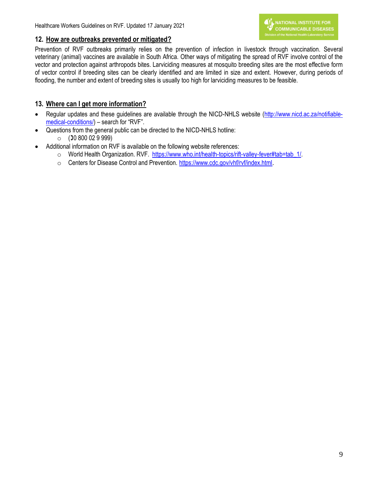#### <span id="page-10-0"></span>**12. How are outbreaks prevented or mitigated?**

Prevention of RVF outbreaks primarily relies on the prevention of infection in livestock through vaccination. Several veterinary (animal) vaccines are available in South Africa. Other ways of mitigating the spread of RVF involve control of the vector and protection against arthropods bites. Larviciding measures at mosquito breeding sites are the most effective form of vector control if breeding sites can be clearly identified and are limited in size and extent. However, during periods of flooding, the number and extent of breeding sites is usually too high for larviciding measures to be feasible.

# <span id="page-10-1"></span>**13. Where can I get more information?**

- Regular updates and these guidelines are available through the NICD-NHLS website [\(http://www.nicd.ac.za/notifiable](http://www.nicd.ac.za/notifiable-medical-conditions/)[medical-conditions/\)](http://www.nicd.ac.za/notifiable-medical-conditions/) – search for "RVF".
- Questions from the general public can be directed to the NICD-NHLS hotline:
	- $\circ$  (30 800 02 9 999)
- Additional information on RVF is available on the following website references:
	- o World Health Organization. RVF. [https://www.who.int/health-topics/rift-valley-fever#tab=tab\\_1/.](http://www.who.int/mediacentre/factsheets/fs207/en/)
	- o Centers for Disease Control and Prevention. <https://www.cdc.gov/vhf/rvf/index.html>.